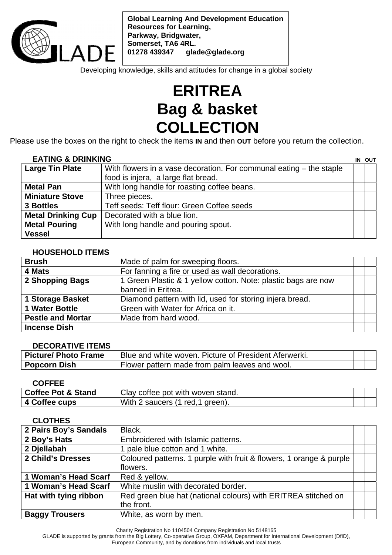

**Global Learning And Development Education Resources for Learning, Parkway, Bridgwater, Somerset, TA6 4RL. 01278 439347 glade@glade.org** 

Developing knowledge, skills and attitudes for change in a global society

# **ERITREA Bag & basket COLLECTION**

Please use the boxes on the right to check the items **IN** and then **OUT** before you return the collection.

## **EATING & DRINKING IN OUT**

| LATINU & DINININIU        |                                                                     | וש או |
|---------------------------|---------------------------------------------------------------------|-------|
| <b>Large Tin Plate</b>    | With flowers in a vase decoration. For communal eating – the staple |       |
|                           | food is injera, a large flat bread.                                 |       |
| <b>Metal Pan</b>          | With long handle for roasting coffee beans.                         |       |
| <b>Miniature Stove</b>    | Three pieces.                                                       |       |
| 3 Bottles                 | Teff seeds: Teff flour: Green Coffee seeds                          |       |
| <b>Metal Drinking Cup</b> | Decorated with a blue lion.                                         |       |
| <b>Metal Pouring</b>      | With long handle and pouring spout.                                 |       |
| <b>Vessel</b>             |                                                                     |       |

### **HOUSEHOLD ITEMS**

| <b>Brush</b>             | Made of palm for sweeping floors.                             |  |
|--------------------------|---------------------------------------------------------------|--|
| 4 Mats                   | For fanning a fire or used as wall decorations.               |  |
| 2 Shopping Bags          | 1 Green Plastic & 1 yellow cotton. Note: plastic bags are now |  |
|                          | banned in Eritrea.                                            |  |
| <b>1 Storage Basket</b>  | Diamond pattern with lid, used for storing injera bread.      |  |
| 1 Water Bottle           | Green with Water for Africa on it.                            |  |
| <b>Pestle and Mortar</b> | Made from hard wood.                                          |  |
| <b>Incense Dish</b>      |                                                               |  |

#### **DECORATIVE ITEMS**

| <b>Picture/ Photo Frame</b> | Blue and white woven. Picture of President Aferwerki. |  |
|-----------------------------|-------------------------------------------------------|--|
| <b>Popcorn Dish</b>         | Flower pattern made from palm leaves and wool.        |  |

#### **COFFEE**

| <b>Coffee Pot &amp; Stand</b> | Clay coffee pot with woven stand.          |  |
|-------------------------------|--------------------------------------------|--|
| 4 Coffee cups                 | With.<br>red.<br>2 saucers (1<br>` areen). |  |

#### **CLOTHES**

| 2 Pairs Boy's Sandals | Black.                                                              |  |
|-----------------------|---------------------------------------------------------------------|--|
| 2 Boy's Hats          | Embroidered with Islamic patterns.                                  |  |
| 2 Djellabah           | 1 pale blue cotton and 1 white.                                     |  |
| 2 Child's Dresses     | Coloured patterns. 1 purple with fruit & flowers, 1 orange & purple |  |
|                       | flowers.                                                            |  |
| 1 Woman's Head Scarf  | Red & yellow.                                                       |  |
| 1 Woman's Head Scarf  | White muslin with decorated border.                                 |  |
| Hat with tying ribbon | Red green blue hat (national colours) with ERITREA stitched on      |  |
|                       | the front.                                                          |  |
| <b>Baggy Trousers</b> | White, as worn by men.                                              |  |

Charity Registration No 1104504 Company Registration No 5148165

GLADE is supported by grants from the Big Lottery, Co-operative Group, OXFAM, Department for International Development (DfID),

European Community, and by donations from individuals and local trusts